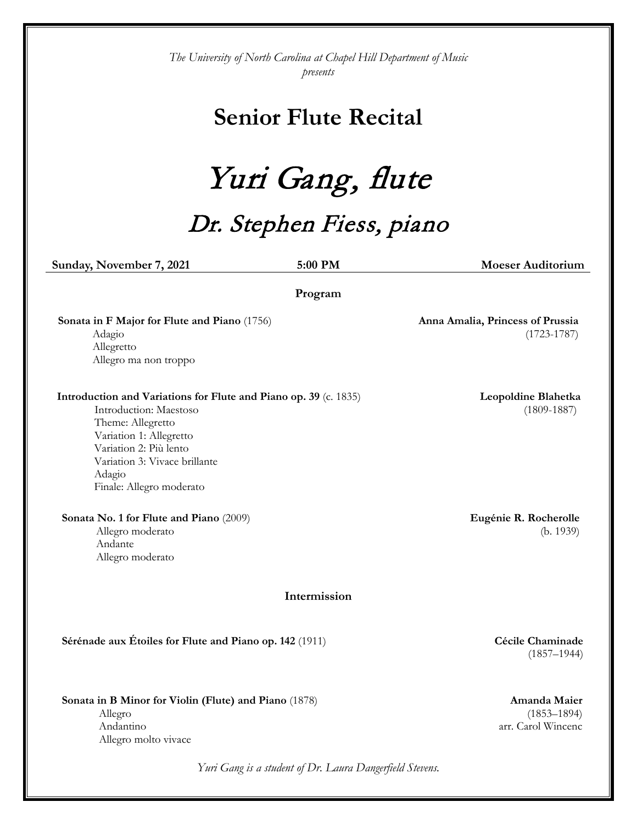*The University of North Carolina at Chapel Hill Department of Music presents*

## **Senior Flute Recital**

Yuri Gang, flute

## Dr. Stephen Fiess, piano

*Yuri Gang is a student of Dr. Laura Dangerfield Stevens.* **Sunday, November 7, 2021 5:00 PM Moeser Auditorium Program Sonata in F Major for Flute and Piano** (1756) Adagio Allegretto Allegro ma non troppo **Anna Amalia, Princess of Prussia** (1723-1787) **Intermission Introduction and Variations for Flute and Piano op. 39** (c. 1835) Introduction: Maestoso Theme: Allegretto Variation 1: Allegretto Variation 2: Più lento Variation 3: Vivace brillante Adagio Finale: Allegro moderato  **Leopoldine Blahetka** (1809-1887) **Sonata No. 1 for Flute and Piano** (2009) Allegro moderato Andante Allegro moderato **Eugénie R. Rocherolle**  (b. 1939) **Sérénade aux Étoiles for Flute and Piano op. 142** (1911) **Cécile Chaminade** (1857–1944) **Sonata in B Minor for Violin (Flute) and Piano** (1878) Allegro Andantino Allegro molto vivace **Amanda Maier** (1853–1894) arr. Carol Wincenc